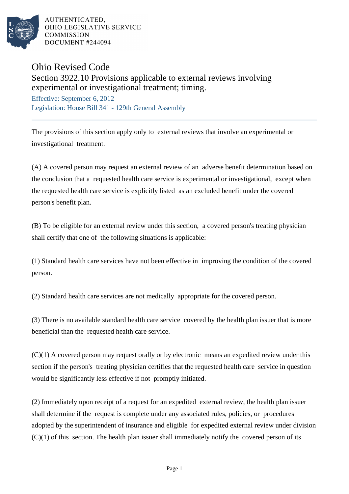

## Ohio Revised Code

## Section 3922.10 Provisions applicable to external reviews involving experimental or investigational treatment; timing.

Effective: September 6, 2012 Legislation: House Bill 341 - 129th General Assembly

The provisions of this section apply only to external reviews that involve an experimental or investigational treatment.

(A) A covered person may request an external review of an adverse benefit determination based on the conclusion that a requested health care service is experimental or investigational, except when the requested health care service is explicitly listed as an excluded benefit under the covered person's benefit plan.

(B) To be eligible for an external review under this section, a covered person's treating physician shall certify that one of the following situations is applicable:

(1) Standard health care services have not been effective in improving the condition of the covered person.

(2) Standard health care services are not medically appropriate for the covered person.

(3) There is no available standard health care service covered by the health plan issuer that is more beneficial than the requested health care service.

(C)(1) A covered person may request orally or by electronic means an expedited review under this section if the person's treating physician certifies that the requested health care service in question would be significantly less effective if not promptly initiated.

(2) Immediately upon receipt of a request for an expedited external review, the health plan issuer shall determine if the request is complete under any associated rules, policies, or procedures adopted by the superintendent of insurance and eligible for expedited external review under division  $(C)(1)$  of this section. The health plan issuer shall immediately notify the covered person of its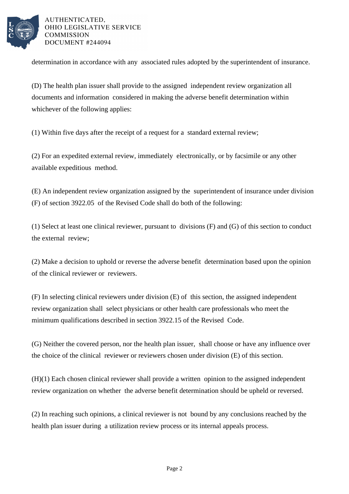

determination in accordance with any associated rules adopted by the superintendent of insurance.

(D) The health plan issuer shall provide to the assigned independent review organization all documents and information considered in making the adverse benefit determination within whichever of the following applies:

(1) Within five days after the receipt of a request for a standard external review;

(2) For an expedited external review, immediately electronically, or by facsimile or any other available expeditious method.

(E) An independent review organization assigned by the superintendent of insurance under division (F) of section 3922.05 of the Revised Code shall do both of the following:

(1) Select at least one clinical reviewer, pursuant to divisions (F) and (G) of this section to conduct the external review;

(2) Make a decision to uphold or reverse the adverse benefit determination based upon the opinion of the clinical reviewer or reviewers.

(F) In selecting clinical reviewers under division (E) of this section, the assigned independent review organization shall select physicians or other health care professionals who meet the minimum qualifications described in section 3922.15 of the Revised Code.

(G) Neither the covered person, nor the health plan issuer, shall choose or have any influence over the choice of the clinical reviewer or reviewers chosen under division (E) of this section.

(H)(1) Each chosen clinical reviewer shall provide a written opinion to the assigned independent review organization on whether the adverse benefit determination should be upheld or reversed.

(2) In reaching such opinions, a clinical reviewer is not bound by any conclusions reached by the health plan issuer during a utilization review process or its internal appeals process.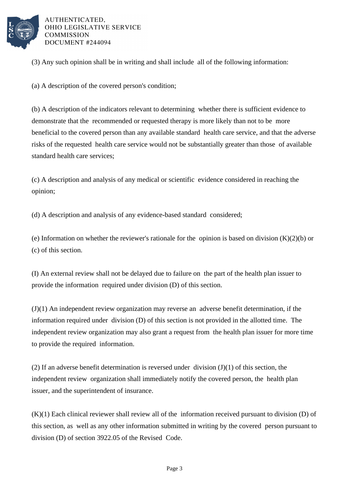

(3) Any such opinion shall be in writing and shall include all of the following information:

(a) A description of the covered person's condition;

(b) A description of the indicators relevant to determining whether there is sufficient evidence to demonstrate that the recommended or requested therapy is more likely than not to be more beneficial to the covered person than any available standard health care service, and that the adverse risks of the requested health care service would not be substantially greater than those of available standard health care services;

(c) A description and analysis of any medical or scientific evidence considered in reaching the opinion;

(d) A description and analysis of any evidence-based standard considered;

(e) Information on whether the reviewer's rationale for the opinion is based on division (K)(2)(b) or (c) of this section.

(I) An external review shall not be delayed due to failure on the part of the health plan issuer to provide the information required under division (D) of this section.

(J)(1) An independent review organization may reverse an adverse benefit determination, if the information required under division (D) of this section is not provided in the allotted time. The independent review organization may also grant a request from the health plan issuer for more time to provide the required information.

(2) If an adverse benefit determination is reversed under division  $(J)(1)$  of this section, the independent review organization shall immediately notify the covered person, the health plan issuer, and the superintendent of insurance.

(K)(1) Each clinical reviewer shall review all of the information received pursuant to division (D) of this section, as well as any other information submitted in writing by the covered person pursuant to division (D) of section 3922.05 of the Revised Code.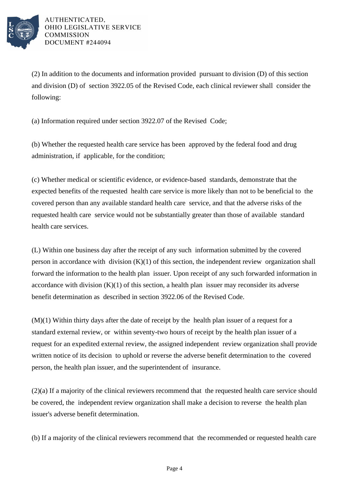

(2) In addition to the documents and information provided pursuant to division (D) of this section and division (D) of section 3922.05 of the Revised Code, each clinical reviewer shall consider the following:

(a) Information required under section 3922.07 of the Revised Code;

(b) Whether the requested health care service has been approved by the federal food and drug administration, if applicable, for the condition;

(c) Whether medical or scientific evidence, or evidence-based standards, demonstrate that the expected benefits of the requested health care service is more likely than not to be beneficial to the covered person than any available standard health care service, and that the adverse risks of the requested health care service would not be substantially greater than those of available standard health care services.

(L) Within one business day after the receipt of any such information submitted by the covered person in accordance with division  $(K)(1)$  of this section, the independent review organization shall forward the information to the health plan issuer. Upon receipt of any such forwarded information in accordance with division  $(K)(1)$  of this section, a health plan issuer may reconsider its adverse benefit determination as described in section 3922.06 of the Revised Code.

 $(M)(1)$  Within thirty days after the date of receipt by the health plan issuer of a request for a standard external review, or within seventy-two hours of receipt by the health plan issuer of a request for an expedited external review, the assigned independent review organization shall provide written notice of its decision to uphold or reverse the adverse benefit determination to the covered person, the health plan issuer, and the superintendent of insurance.

(2)(a) If a majority of the clinical reviewers recommend that the requested health care service should be covered, the independent review organization shall make a decision to reverse the health plan issuer's adverse benefit determination.

(b) If a majority of the clinical reviewers recommend that the recommended or requested health care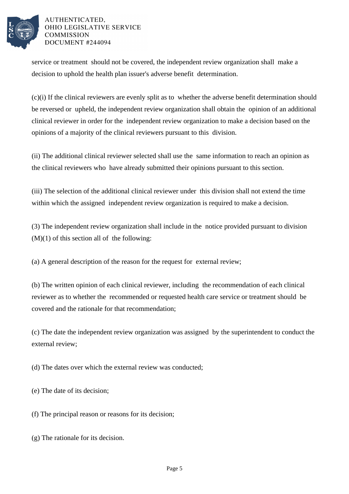

service or treatment should not be covered, the independent review organization shall make a decision to uphold the health plan issuer's adverse benefit determination.

(c)(i) If the clinical reviewers are evenly split as to whether the adverse benefit determination should be reversed or upheld, the independent review organization shall obtain the opinion of an additional clinical reviewer in order for the independent review organization to make a decision based on the opinions of a majority of the clinical reviewers pursuant to this division.

(ii) The additional clinical reviewer selected shall use the same information to reach an opinion as the clinical reviewers who have already submitted their opinions pursuant to this section.

(iii) The selection of the additional clinical reviewer under this division shall not extend the time within which the assigned independent review organization is required to make a decision.

(3) The independent review organization shall include in the notice provided pursuant to division  $(M)(1)$  of this section all of the following:

(a) A general description of the reason for the request for external review;

(b) The written opinion of each clinical reviewer, including the recommendation of each clinical reviewer as to whether the recommended or requested health care service or treatment should be covered and the rationale for that recommendation;

(c) The date the independent review organization was assigned by the superintendent to conduct the external review;

(d) The dates over which the external review was conducted;

(e) The date of its decision;

(f) The principal reason or reasons for its decision;

(g) The rationale for its decision.